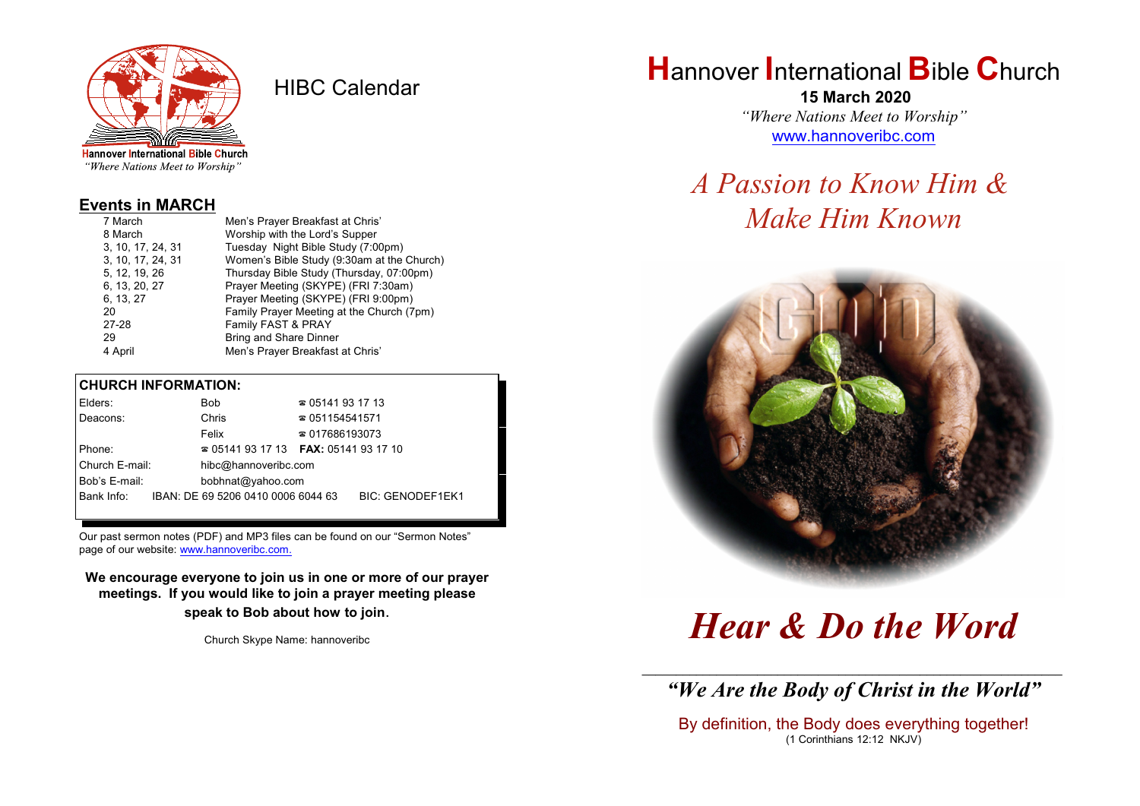

HIBC Calendar

"Where Nations Meet to Worship"

### **Events in MARCH**

| 7 March           | Men's Prayer Breakfast at Chris'           |  |  |
|-------------------|--------------------------------------------|--|--|
| 8 March           | Worship with the Lord's Supper             |  |  |
| 3, 10, 17, 24, 31 | Tuesday Night Bible Study (7:00pm)         |  |  |
| 3, 10, 17, 24, 31 | Women's Bible Study (9:30am at the Church) |  |  |
| 5, 12, 19, 26     | Thursday Bible Study (Thursday, 07:00pm)   |  |  |
| 6, 13, 20, 27     | Prayer Meeting (SKYPE) (FRI 7:30am)        |  |  |
| 6, 13, 27         | Prayer Meeting (SKYPE) (FRI 9:00pm)        |  |  |
| 20                | Family Prayer Meeting at the Church (7pm)  |  |  |
| 27-28             | Family FAST & PRAY                         |  |  |
| 29                | <b>Bring and Share Dinner</b>              |  |  |
| 4 April           | Men's Prayer Breakfast at Chris'           |  |  |

### **CHURCH INFORMATION:**

|                | Elders:                            |                                          | Bob                                | $\approx 05141931713$  |                         |  |
|----------------|------------------------------------|------------------------------------------|------------------------------------|------------------------|-------------------------|--|
|                | Deacons:                           |                                          | Chris                              |                        | $\approx 051154541571$  |  |
|                |                                    |                                          | Felix                              | $\approx 017686193073$ |                         |  |
| Phone:         |                                    | $\approx 05141931713$ FAX: 0514193 17 10 |                                    |                        |                         |  |
| Church E-mail: |                                    |                                          | hibc@hannoveribc.com               |                        |                         |  |
|                | Bob's E-mail:<br>bobhnat@yahoo.com |                                          |                                    |                        |                         |  |
|                | Bank Info:                         |                                          | IBAN: DE 69 5206 0410 0006 6044 63 |                        | <b>BIC: GENODEF1EK1</b> |  |
|                |                                    |                                          |                                    |                        |                         |  |

Our past sermon notes (PDF) and MP3 files can be found on our "Sermon Notes" page of our website: [www.hannoveribc.com.](http://www.hannoveribc.com.)

**We encourage everyone to join us in one or more of our prayer meetings. If you would like to join a prayer meeting please speak to Bob about how to join**.

Church Skype Name: hannoveribc

# **H**annover **I**nternational **B**ible **C**hurch

 **15 March 2020** *"Where Nations Meet to Worship"* [www.hannoveribc.com](http://www.hannoveribc.com)

# *A Passion to Know Him & Make Him Known*



*Hear & Do the Word*

\_\_\_\_\_\_\_\_\_\_\_\_\_\_\_\_\_\_\_\_\_\_\_\_\_\_\_\_\_\_\_\_\_\_\_\_\_\_\_\_\_\_\_\_\_\_\_\_\_\_\_\_\_\_\_\_\_\_\_\_\_\_ *"We Are the Body of Christ in the World"*

By definition, the Body does everything together! (1 Corinthians 12:12 NKJV)